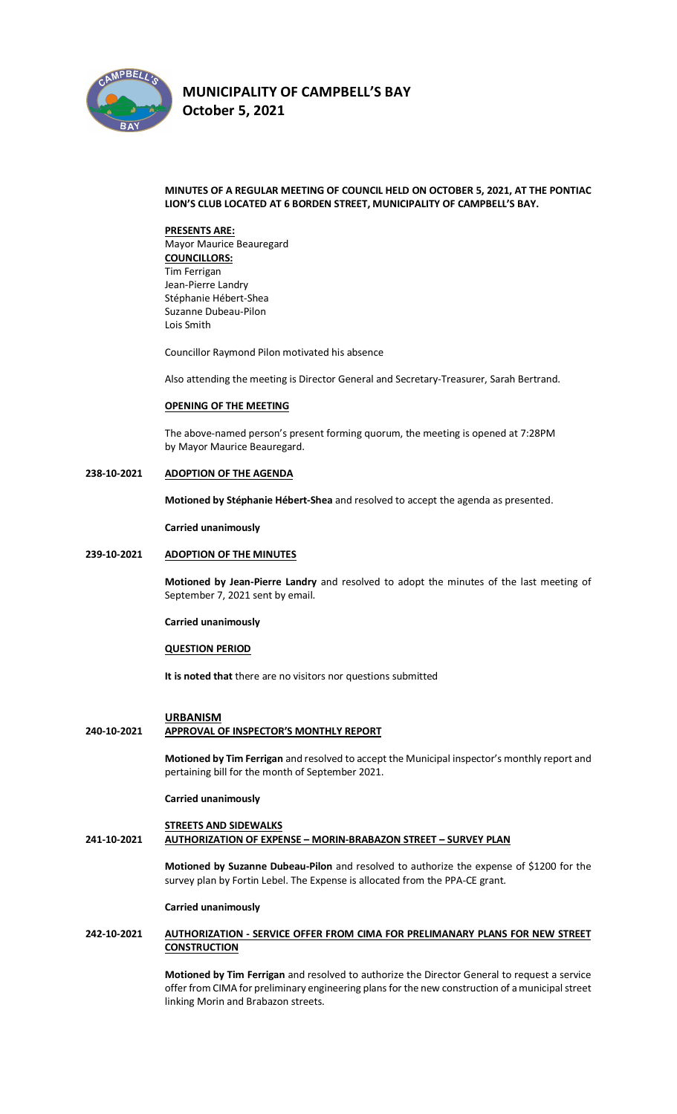

**October 5, 2021** 

#### **MINUTES OF A REGULAR MEETING OF COUNCIL HELD ON OCTOBER 5, 2021, AT THE PONTIAC LION'S CLUB LOCATED AT 6 BORDEN STREET, MUNICIPALITY OF CAMPBELL'S BAY.**

#### **PRESENTS ARE:**

Mayor Maurice Beauregard **COUNCILLORS:** Tim Ferrigan Jean-Pierre Landry Stéphanie Hébert-Shea Suzanne Dubeau-Pilon Lois Smith

Councillor Raymond Pilon motivated his absence

Also attending the meeting is Director General and Secretary-Treasurer, Sarah Bertrand.

#### **OPENING OF THE MEETING**

The above-named person's present forming quorum, the meeting is opened at 7:28PM by Mayor Maurice Beauregard.

#### **238-10-2021 ADOPTION OF THE AGENDA**

**Motioned by Stéphanie Hébert-Shea** and resolved to accept the agenda as presented.

**Carried unanimously**

#### **239-10-2021 ADOPTION OF THE MINUTES**

**Motioned by Jean-Pierre Landry** and resolved to adopt the minutes of the last meeting of September 7, 2021 sent by email.

**Carried unanimously**

#### **QUESTION PERIOD**

**It is noted that** there are no visitors nor questions submitted

#### **URBANISM**

#### **240-10-2021 APPROVAL OF INSPECTOR'S MONTHLY REPORT**

**Motioned by Tim Ferrigan** and resolved to accept the Municipal inspector's monthly report and pertaining bill for the month of September 2021.

**Carried unanimously**

#### **STREETS AND SIDEWALKS 241-10-2021 AUTHORIZATION OF EXPENSE – MORIN-BRABAZON STREET – SURVEY PLAN**

**Motioned by Suzanne Dubeau-Pilon** and resolved to authorize the expense of \$1200 for the survey plan by Fortin Lebel. The Expense is allocated from the PPA-CE grant.

#### **Carried unanimously**

#### **242-10-2021 AUTHORIZATION - SERVICE OFFER FROM CIMA FOR PRELIMANARY PLANS FOR NEW STREET CONSTRUCTION**

**Motioned by Tim Ferrigan** and resolved to authorize the Director General to request a service offer from CIMA for preliminary engineering plans for the new construction of a municipal street linking Morin and Brabazon streets.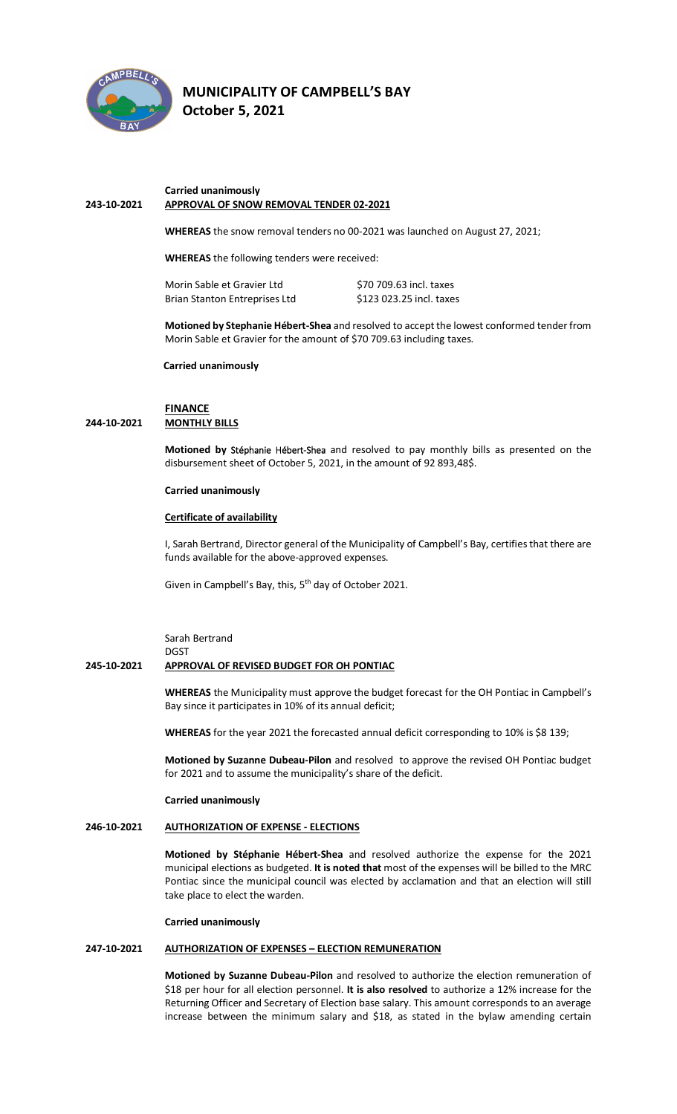

**October 5, 2021** 

#### **Carried unanimously 243-10-2021 APPROVAL OF SNOW REMOVAL TENDER 02-2021**

**WHEREAS** the snow removal tenders no 00-2021 was launched on August 27, 2021;

**WHEREAS** the following tenders were received:

| Morin Sable et Gravier Ltd    | \$70 709.63 incl. taxes  |
|-------------------------------|--------------------------|
| Brian Stanton Entreprises Ltd | \$123 023.25 incl. taxes |

**Motioned by Stephanie Hébert-Shea** and resolved to accept the lowest conformed tender from Morin Sable et Gravier for the amount of \$70 709.63 including taxes.

**Carried unanimously**

#### **FINANCE**

#### **244-10-2021 MONTHLY BILLS**

**Motioned by Stéphanie Hébert-Shea** and resolved to pay monthly bills as presented on the disbursement sheet of October 5, 2021, in the amount of 92 893,48\$.

#### **Carried unanimously**

#### **Certificate of availability**

I, Sarah Bertrand, Director general of the Municipality of Campbell's Bay, certifies that there are funds available for the above-approved expenses.

Given in Campbell's Bay, this, 5<sup>th</sup> day of October 2021.

#### Sarah Bertrand DGST **245-10-2021 APPROVAL OF REVISED BUDGET FOR OH PONTIAC**

**WHEREAS** the Municipality must approve the budget forecast for the OH Pontiac in Campbell's Bay since it participates in 10% of its annual deficit;

**WHEREAS** for the year 2021 the forecasted annual deficit corresponding to 10% is \$8 139;

**Motioned by Suzanne Dubeau-Pilon** and resolved to approve the revised OH Pontiac budget for 2021 and to assume the municipality's share of the deficit.

**Carried unanimously**

#### **246-10-2021 AUTHORIZATION OF EXPENSE - ELECTIONS**

**Motioned by Stéphanie Hébert-Shea** and resolved authorize the expense for the 2021 municipal elections as budgeted. **It is noted that** most of the expenses will be billed to the MRC Pontiac since the municipal council was elected by acclamation and that an election will still take place to elect the warden.

#### **Carried unanimously**

### **247-10-2021 AUTHORIZATION OF EXPENSES – ELECTION REMUNERATION**

**Motioned by Suzanne Dubeau-Pilon** and resolved to authorize the election remuneration of \$18 per hour for all election personnel. **It is also resolved** to authorize a 12% increase for the Returning Officer and Secretary of Election base salary. This amount corresponds to an average increase between the minimum salary and \$18, as stated in the bylaw amending certain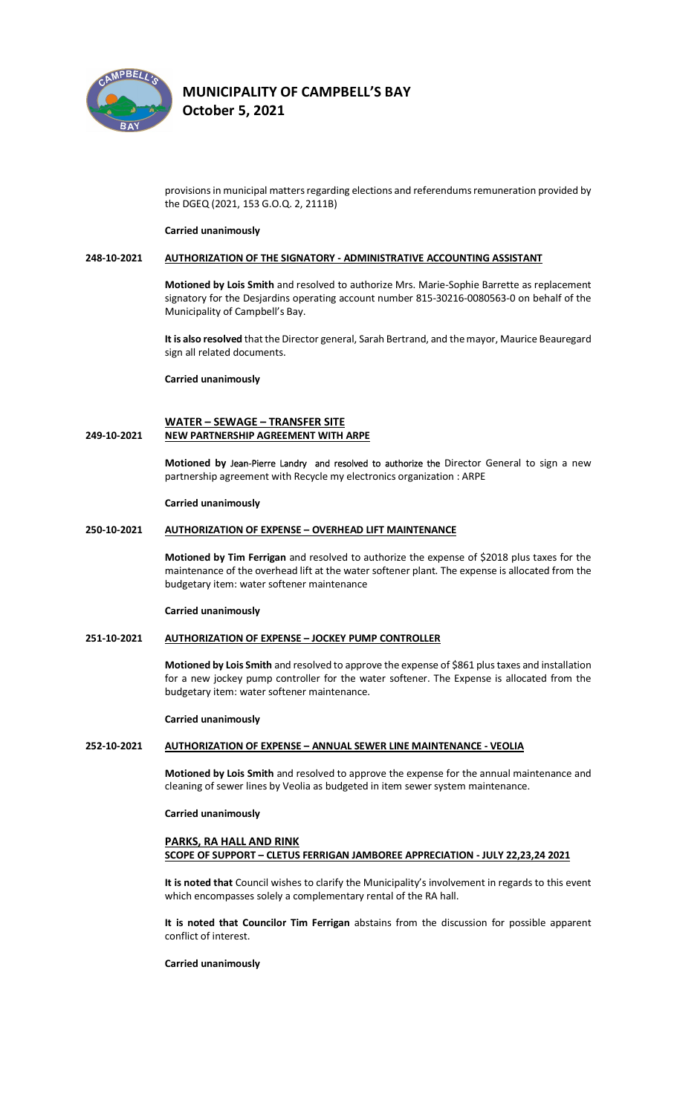

### **MUNICIPALITY OF CAMPBELL'S BAY October 5, 2021**

provisions in municipal matters regarding elections and referendums remuneration provided by the DGEQ (2021, 153 G.O.Q. 2, 2111B)

#### **Carried unanimously**

#### **248-10-2021 AUTHORIZATION OF THE SIGNATORY - ADMINISTRATIVE ACCOUNTING ASSISTANT**

**Motioned by Lois Smith** and resolved to authorize Mrs. Marie-Sophie Barrette as replacement signatory for the Desjardins operating account number 815-30216-0080563-0 on behalf of the Municipality of Campbell's Bay.

**It is also resolved** that the Director general, Sarah Bertrand, and the mayor, Maurice Beauregard sign all related documents.

**Carried unanimously**

#### **WATER – SEWAGE – TRANSFER SITE 249-10-2021 NEW PARTNERSHIP AGREEMENT WITH ARPE**

**Motioned by Jean-Pierre Landry and resolved to authorize the** Director General to sign a new partnership agreement with Recycle my electronics organization : ARPE

#### **Carried unanimously**

#### **250-10-2021 AUTHORIZATION OF EXPENSE – OVERHEAD LIFT MAINTENANCE**

**Motioned by Tim Ferrigan** and resolved to authorize the expense of \$2018 plus taxes for the maintenance of the overhead lift at the water softener plant. The expense is allocated from the budgetary item: water softener maintenance

#### **Carried unanimously**

#### **251-10-2021 AUTHORIZATION OF EXPENSE – JOCKEY PUMP CONTROLLER**

**Motioned by Lois Smith** and resolved to approve the expense of \$861 plus taxes and installation for a new jockey pump controller for the water softener. The Expense is allocated from the budgetary item: water softener maintenance.

#### **Carried unanimously**

#### **252-10-2021 AUTHORIZATION OF EXPENSE – ANNUAL SEWER LINE MAINTENANCE - VEOLIA**

**Motioned by Lois Smith** and resolved to approve the expense for the annual maintenance and cleaning of sewer lines by Veolia as budgeted in item sewer system maintenance.

**Carried unanimously**

#### **PARKS, RA HALL AND RINK SCOPE OF SUPPORT – CLETUS FERRIGAN JAMBOREE APPRECIATION - JULY 22,23,24 2021**

**It is noted that** Council wishes to clarify the Municipality's involvement in regards to this event which encompasses solely a complementary rental of the RA hall.

**It is noted that Councilor Tim Ferrigan** abstains from the discussion for possible apparent conflict of interest.

#### **Carried unanimously**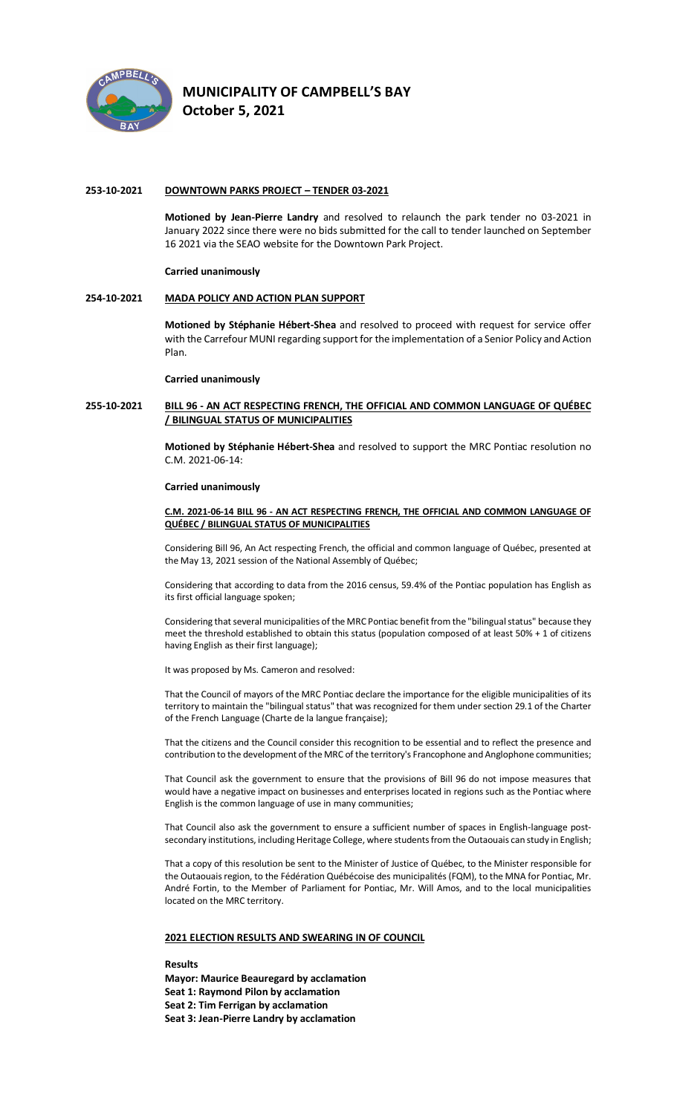

**October 5, 2021** 

#### **253-10-2021 DOWNTOWN PARKS PROJECT – TENDER 03-2021**

**Motioned by Jean-Pierre Landry** and resolved to relaunch the park tender no 03-2021 in January 2022 since there were no bids submitted for the call to tender launched on September 16 2021 via the SEAO website for the Downtown Park Project.

#### **Carried unanimously**

#### **254-10-2021 MADA POLICY AND ACTION PLAN SUPPORT**

**Motioned by Stéphanie Hébert-Shea** and resolved to proceed with request for service offer with the Carrefour MUNI regarding support for the implementation of a Senior Policy and Action Plan.

#### **Carried unanimously**

#### **255-10-2021 BILL 96 - AN ACT RESPECTING FRENCH, THE OFFICIAL AND COMMON LANGUAGE OF QUÉBEC / BILINGUAL STATUS OF MUNICIPALITIES**

**Motioned by Stéphanie Hébert-Shea** and resolved to support the MRC Pontiac resolution no C.M. 2021-06-14:

#### **Carried unanimously**

#### **C.M. 2021-06-14 BILL 96 - AN ACT RESPECTING FRENCH, THE OFFICIAL AND COMMON LANGUAGE OF QUÉBEC / BILINGUAL STATUS OF MUNICIPALITIES**

Considering Bill 96, An Act respecting French, the official and common language of Québec, presented at the May 13, 2021 session of the National Assembly of Québec;

Considering that according to data from the 2016 census, 59.4% of the Pontiac population has English as its first official language spoken;

Considering that several municipalities of the MRC Pontiac benefit from the "bilingual status" because they meet the threshold established to obtain this status (population composed of at least 50% + 1 of citizens having English as their first language);

It was proposed by Ms. Cameron and resolved:

That the Council of mayors of the MRC Pontiac declare the importance for the eligible municipalities of its territory to maintain the "bilingual status" that was recognized for them under section 29.1 of the Charter of the French Language (Charte de la langue française);

That the citizens and the Council consider this recognition to be essential and to reflect the presence and contribution to the development of the MRC of the territory's Francophone and Anglophone communities;

That Council ask the government to ensure that the provisions of Bill 96 do not impose measures that would have a negative impact on businesses and enterprises located in regions such as the Pontiac where English is the common language of use in many communities;

That Council also ask the government to ensure a sufficient number of spaces in English-language postsecondary institutions, including Heritage College, where students from the Outaouais can study in English;

That a copy of this resolution be sent to the Minister of Justice of Québec, to the Minister responsible for the Outaouais region, to the Fédération Québécoise des municipalités (FQM), to the MNA for Pontiac, Mr. André Fortin, to the Member of Parliament for Pontiac, Mr. Will Amos, and to the local municipalities located on the MRC territory.

#### **2021 ELECTION RESULTS AND SWEARING IN OF COUNCIL**

**Results**

**Mayor: Maurice Beauregard by acclamation Seat 1: Raymond Pilon by acclamation Seat 2: Tim Ferrigan by acclamation Seat 3: Jean-Pierre Landry by acclamation**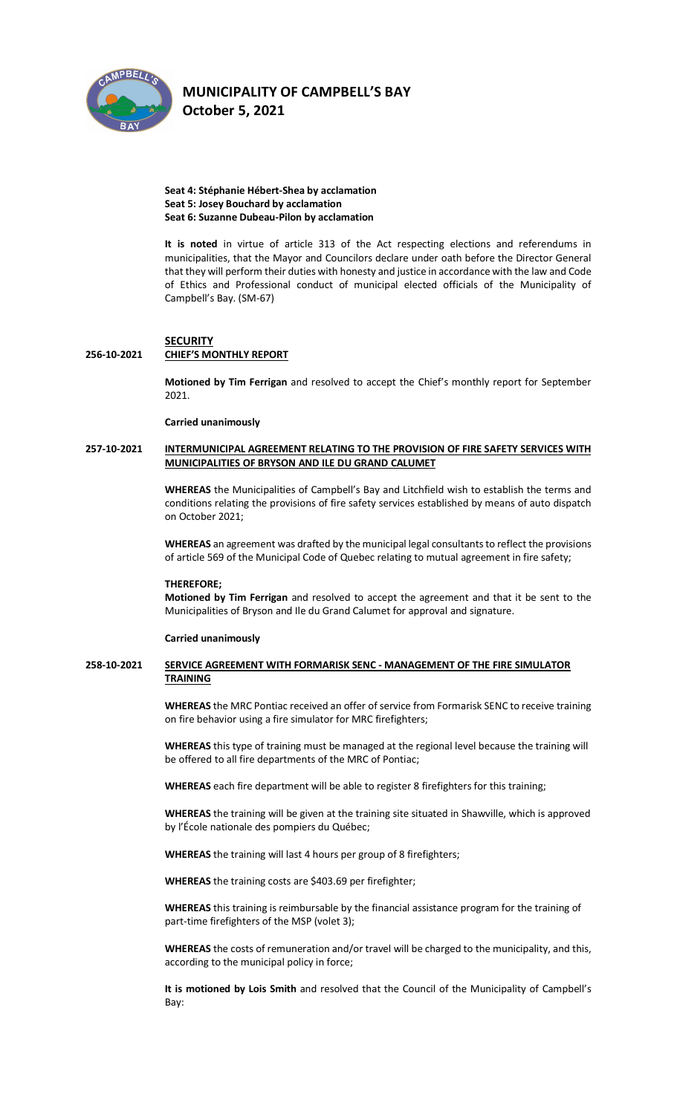

**October 5, 2021** 

#### **Seat 4: Stéphanie Hébert-Shea by acclamation Seat 5: Josey Bouchard by acclamation Seat 6: Suzanne Dubeau-Pilon by acclamation**

**It is noted** in virtue of article 313 of the Act respecting elections and referendums in municipalities, that the Mayor and Councilors declare under oath before the Director General that they will perform their duties with honesty and justice in accordance with the law and Code of Ethics and Professional conduct of municipal elected officials of the Municipality of Campbell's Bay. (SM-67)

#### **SECURITY**

### **256-10-2021 CHIEF'S MONTHLY REPORT**

**Motioned by Tim Ferrigan** and resolved to accept the Chief's monthly report for September 2021.

#### **Carried unanimously**

#### **257-10-2021 INTERMUNICIPAL AGREEMENT RELATING TO THE PROVISION OF FIRE SAFETY SERVICES WITH MUNICIPALITIES OF BRYSON AND ILE DU GRAND CALUMET**

**WHEREAS** the Municipalities of Campbell's Bay and Litchfield wish to establish the terms and conditions relating the provisions of fire safety services established by means of auto dispatch on October 2021;

**WHEREAS** an agreement was drafted by the municipal legal consultants to reflect the provisions of article 569 of the Municipal Code of Quebec relating to mutual agreement in fire safety;

#### **THEREFORE;**

**Motioned by Tim Ferrigan** and resolved to accept the agreement and that it be sent to the Municipalities of Bryson and Ile du Grand Calumet for approval and signature.

#### **Carried unanimously**

#### **258-10-2021 SERVICE AGREEMENT WITH FORMARISK SENC - MANAGEMENT OF THE FIRE SIMULATOR TRAINING**

**WHEREAS** the MRC Pontiac received an offer of service from Formarisk SENC to receive training on fire behavior using a fire simulator for MRC firefighters;

**WHEREAS** this type of training must be managed at the regional level because the training will be offered to all fire departments of the MRC of Pontiac;

**WHEREAS** each fire department will be able to register 8 firefighters for this training;

**WHEREAS** the training will be given at the training site situated in Shawville, which is approved by l'École nationale des pompiers du Québec;

**WHEREAS** the training will last 4 hours per group of 8 firefighters;

**WHEREAS** the training costs are \$403.69 per firefighter;

**WHEREAS** this training is reimbursable by the financial assistance program for the training of part-time firefighters of the MSP (volet 3);

**WHEREAS** the costs of remuneration and/or travel will be charged to the municipality, and this, according to the municipal policy in force;

**It is motioned by Lois Smith** and resolved that the Council of the Municipality of Campbell's Bay: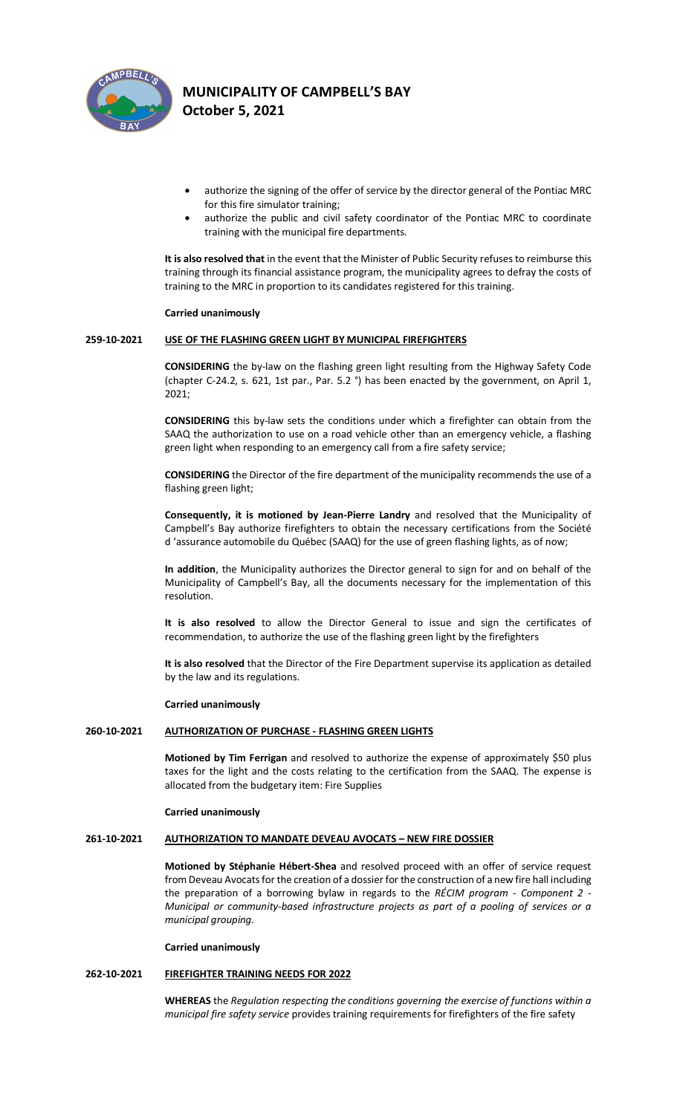

**October 5, 2021** 

- authorize the signing of the offer of service by the director general of the Pontiac MRC for this fire simulator training;
- authorize the public and civil safety coordinator of the Pontiac MRC to coordinate training with the municipal fire departments.

**It is also resolved that** in the event that the Minister of Public Security refuses to reimburse this training through its financial assistance program, the municipality agrees to defray the costs of training to the MRC in proportion to its candidates registered for this training.

#### **Carried unanimously**

#### **259-10-2021 USE OF THE FLASHING GREEN LIGHT BY MUNICIPAL FIREFIGHTERS**

**CONSIDERING** the by-law on the flashing green light resulting from the Highway Safety Code (chapter C-24.2, s. 621, 1st par., Par. 5.2 °) has been enacted by the government, on April 1, 2021;

**CONSIDERING** this by-law sets the conditions under which a firefighter can obtain from the SAAQ the authorization to use on a road vehicle other than an emergency vehicle, a flashing green light when responding to an emergency call from a fire safety service;

**CONSIDERING** the Director of the fire department of the municipality recommends the use of a flashing green light;

**Consequently, it is motioned by Jean-Pierre Landry** and resolved that the Municipality of Campbell's Bay authorize firefighters to obtain the necessary certifications from the Société d 'assurance automobile du Québec (SAAQ) for the use of green flashing lights, as of now;

**In addition**, the Municipality authorizes the Director general to sign for and on behalf of the Municipality of Campbell's Bay, all the documents necessary for the implementation of this resolution.

**It is also resolved** to allow the Director General to issue and sign the certificates of recommendation, to authorize the use of the flashing green light by the firefighters

**It is also resolved** that the Director of the Fire Department supervise its application as detailed by the law and its regulations.

#### **Carried unanimously**

#### **260-10-2021 AUTHORIZATION OF PURCHASE - FLASHING GREEN LIGHTS**

**Motioned by Tim Ferrigan** and resolved to authorize the expense of approximately \$50 plus taxes for the light and the costs relating to the certification from the SAAQ. The expense is allocated from the budgetary item: Fire Supplies

**Carried unanimously**

#### **261-10-2021 AUTHORIZATION TO MANDATE DEVEAU AVOCATS – NEW FIRE DOSSIER**

**Motioned by Stéphanie Hébert-Shea** and resolved proceed with an offer of service request from Deveau Avocats for the creation of a dossier for the construction of a new fire hall including the preparation of a borrowing bylaw in regards to the *RÉCIM program - Component 2 - Municipal or community-based infrastructure projects as part of a pooling of services or a municipal grouping.*

#### **Carried unanimously**

#### **262-10-2021 FIREFIGHTER TRAINING NEEDS FOR 2022**

**WHEREAS** the *Regulation respecting the conditions governing the exercise of functions within a municipal fire safety service* provides training requirements for firefighters of the fire safety